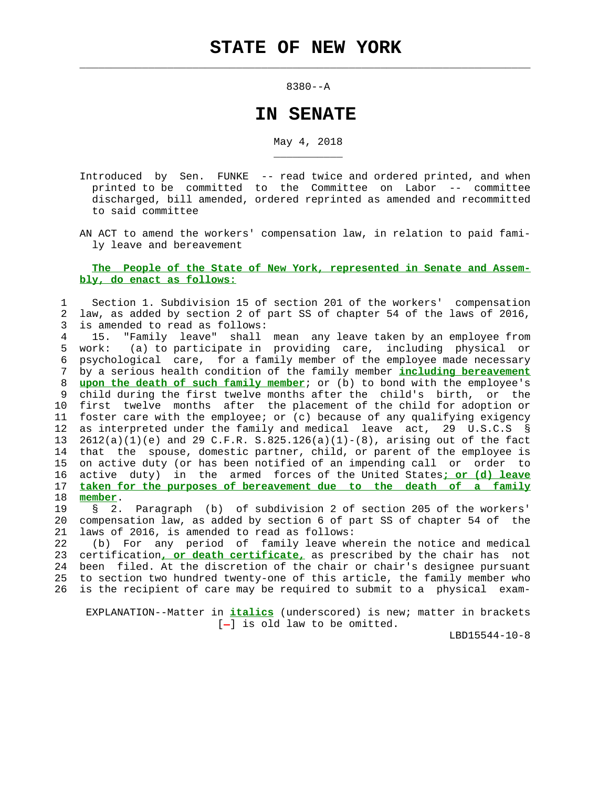$\mathcal{L}_\text{max} = \frac{1}{2} \sum_{i=1}^{n} \frac{1}{2} \sum_{i=1}^{n} \frac{1}{2} \sum_{i=1}^{n} \frac{1}{2} \sum_{i=1}^{n} \frac{1}{2} \sum_{i=1}^{n} \frac{1}{2} \sum_{i=1}^{n} \frac{1}{2} \sum_{i=1}^{n} \frac{1}{2} \sum_{i=1}^{n} \frac{1}{2} \sum_{i=1}^{n} \frac{1}{2} \sum_{i=1}^{n} \frac{1}{2} \sum_{i=1}^{n} \frac{1}{2} \sum_{i=1}^{n} \frac{1$ 

\_\_\_\_\_\_\_\_\_\_\_

8380--A

## **IN SENATE**

May 4, 2018

- Introduced by Sen. FUNKE -- read twice and ordered printed, and when printed to be committed to the Committee on Labor -- committee discharged, bill amended, ordered reprinted as amended and recommitted to said committee
- AN ACT to amend the workers' compensation law, in relation to paid fami ly leave and bereavement

## **The People of the State of New York, represented in Senate and Assem bly, do enact as follows:**

## 1 Section 1. Subdivision 15 of section 201 of the workers' compensation 2 law, as added by section 2 of part SS of chapter 54 of the laws of 2016, 3 is amended to read as follows:

 4 15. "Family leave" shall mean any leave taken by an employee from 5 work: (a) to participate in providing care, including physical or 6 psychological care, for a family member of the employee made necessary 7 by a serious health condition of the family member **including bereavement** 8 **upon the death of such family member**; or (b) to bond with the employee's 9 child during the first twelve months after the child's birth, or the 10 first twelve months after the placement of the child for adoption or 11 foster care with the employee; or (c) because of any qualifying exigency 12 as interpreted under the family and medical leave act, 29 U.S.C.S § 13 2612(a)(1)(e) and 29 C.F.R. S.825.126(a)(1)-(8), arising out of the fact 14 that the spouse, domestic partner, child, or parent of the employee is 15 on active duty (or has been notified of an impending call or order to 16 active duty) in the armed forces of the United States**; or (d) leave** 17 **taken for the purposes of bereavement due to the death of a family** 18 **member**.

 19 § 2. Paragraph (b) of subdivision 2 of section 205 of the workers' 20 compensation law, as added by section 6 of part SS of chapter 54 of the 21 laws of 2016, is amended to read as follows:

 22 (b) For any period of family leave wherein the notice and medical 23 certification**, or death certificate,** as prescribed by the chair has not 24 been filed. At the discretion of the chair or chair's designee pursuant 25 to section two hundred twenty-one of this article, the family member who 26 is the recipient of care may be required to submit to a physical exam-

 EXPLANATION--Matter in **italics** (underscored) is new; matter in brackets  $[-]$  is old law to be omitted.

LBD15544-10-8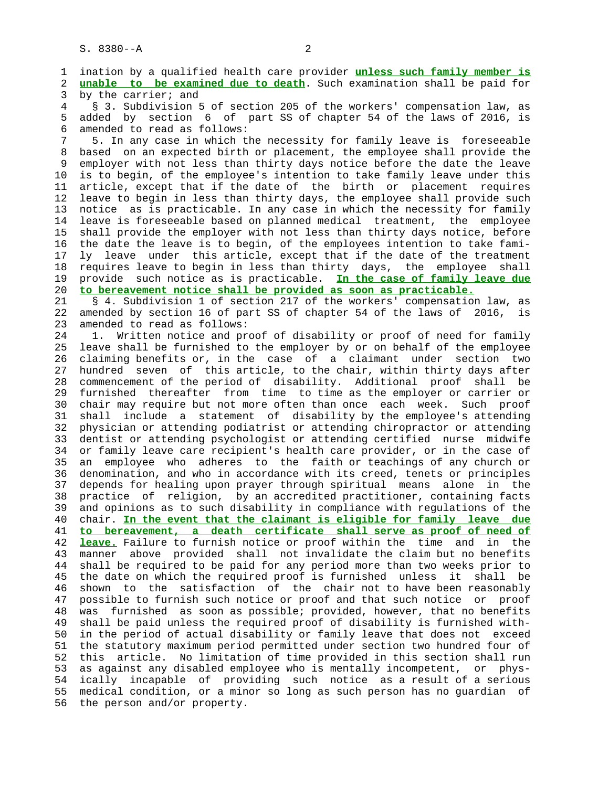1 ination by a qualified health care provider **unless such family member is** 2 **unable to be examined due to death**. Such examination shall be paid for 3 by the carrier; and 4 § 3. Subdivision 5 of section 205 of the workers' compensation law, as 5 added by section 6 of part SS of chapter 54 of the laws of 2016, is 6 amended to read as follows: 7 5. In any case in which the necessity for family leave is foreseeable 8 based on an expected birth or placement, the employee shall provide the employer with not less than thirty days notice before the date the leave 10 is to begin, of the employee's intention to take family leave under this 11 article, except that if the date of the birth or placement requires 12 leave to begin in less than thirty days, the employee shall provide such 13 notice as is practicable. In any case in which the necessity for family 14 leave is foreseeable based on planned medical treatment, the employee 15 shall provide the employer with not less than thirty days notice, before 16 the date the leave is to begin, of the employees intention to take fami- 17 ly leave under this article, except that if the date of the treatment 18 requires leave to begin in less than thirty days, the employee shall 19 provide such notice as is practicable. **In the case of family leave due** 20 **to bereavement notice shall be provided as soon as practicable.** 21 § 4. Subdivision 1 of section 217 of the workers' compensation law, as 22 amended by section 16 of part SS of chapter 54 of the laws of 2016, is 23 amended to read as follows: 24 1. Written notice and proof of disability or proof of need for family 25 leave shall be furnished to the employer by or on behalf of the employee 26 claiming benefits or, in the case of a claimant under section two 27 hundred seven of this article, to the chair, within thirty days after 28 commencement of the period of disability. Additional proof shall be 29 furnished thereafter from time to time as the employer or carrier or 30 chair may require but not more often than once each week. Such proof 31 shall include a statement of disability by the employee's attending 32 physician or attending podiatrist or attending chiropractor or attending 33 dentist or attending psychologist or attending certified nurse midwife 34 or family leave care recipient's health care provider, or in the case of 35 an employee who adheres to the faith or teachings of any church or 36 denomination, and who in accordance with its creed, tenets or principles 37 depends for healing upon prayer through spiritual means alone in the 38 practice of religion, by an accredited practitioner, containing facts 39 and opinions as to such disability in compliance with regulations of the 40 chair. **In the event that the claimant is eligible for family leave due** 41 **to bereavement, a death certificate shall serve as proof of need of** 42 **leave.** Failure to furnish notice or proof within the time and in the 43 manner above provided shall not invalidate the claim but no benefits 44 shall be required to be paid for any period more than two weeks prior to 45 the date on which the required proof is furnished unless it shall be 46 shown to the satisfaction of the chair not to have been reasonably 47 possible to furnish such notice or proof and that such notice or proof 48 was furnished as soon as possible; provided, however, that no benefits 49 shall be paid unless the required proof of disability is furnished with- 50 in the period of actual disability or family leave that does not exceed 51 the statutory maximum period permitted under section two hundred four of 52 this article. No limitation of time provided in this section shall run 53 as against any disabled employee who is mentally incompetent, or phys- 54 ically incapable of providing such notice as a result of a serious 55 medical condition, or a minor so long as such person has no guardian of 56 the person and/or property.